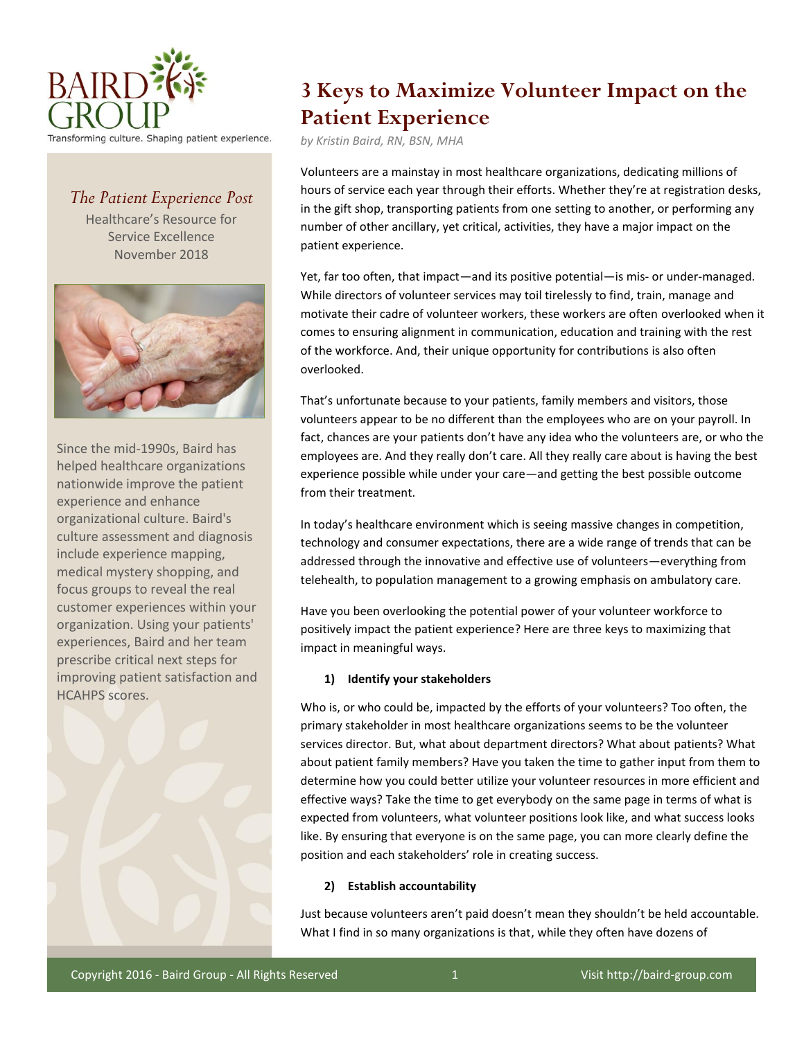

# *The Patient Experience Post*

Healthcare's Resource for Service Excellence November 2018



Since the mid-1990s, Baird has helped healthcare organizations nationwide improve the patient experience and enhance organizational culture. Baird's culture assessment and diagnosis include experience mapping, medical mystery shopping, and focus groups to reveal the real customer experiences within your organization. Using your patients' experiences, Baird and her team prescribe critical next steps for improving patient satisfaction and HCAHPS scores.



# **3 Keys to Maximize Volunteer Impact on the Patient Experience**

*by Kristin Baird, RN, BSN, MHA*

Volunteers are a mainstay in most healthcare organizations, dedicating millions of hours of service each year through their efforts. Whether they're at registration desks, in the gift shop, transporting patients from one setting to another, or performing any number of other ancillary, yet critical, activities, they have a major impact on the patient experience.

Yet, far too often, that impact—and its positive potential—is mis- or under-managed. While directors of volunteer services may toil tirelessly to find, train, manage and motivate their cadre of volunteer workers, these workers are often overlooked when it comes to ensuring alignment in communication, education and training with the rest of the workforce. And, their unique opportunity for contributions is also often overlooked.

That's unfortunate because to your patients, family members and visitors, those volunteers appear to be no different than the employees who are on your payroll. In fact, chances are your patients don't have any idea who the volunteers are, or who the employees are. And they really don't care. All they really care about is having the best experience possible while under your care—and getting the best possible outcome from their treatment.

In today's healthcare environment which is seeing massive changes in competition, technology and consumer expectations, there are a wide range of trends that can be addressed through the innovative and effective use of volunteers—everything from telehealth, to population management to a growing emphasis on ambulatory care.

Have you been overlooking the potential power of your volunteer workforce to positively impact the patient experience? Here are three keys to maximizing that impact in meaningful ways.

## **1) Identify your stakeholders**

Who is, or who could be, impacted by the efforts of your volunteers? Too often, the primary stakeholder in most healthcare organizations seems to be the volunteer services director. But, what about department directors? What about patients? What about patient family members? Have you taken the time to gather input from them to determine how you could better utilize your volunteer resources in more efficient and effective ways? Take the time to get everybody on the same page in terms of what is expected from volunteers, what volunteer positions look like, and what success looks like. By ensuring that everyone is on the same page, you can more clearly define the position and each stakeholders' role in creating success.

### **2) Establish accountability**

Just because volunteers aren't paid doesn't mean they shouldn't be held accountable. What I find in so many organizations is that, while they often have dozens of